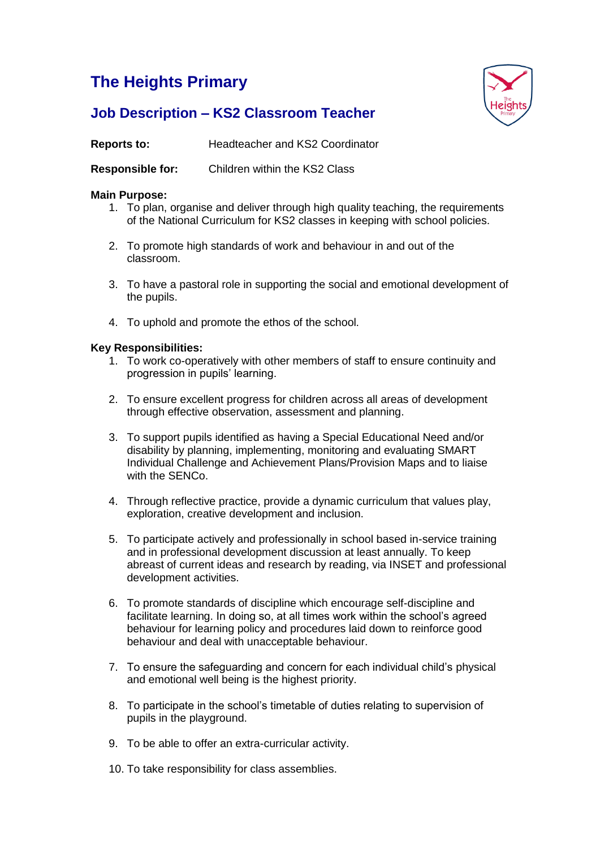# **The Heights Primary**



# **Job Description – KS2 Classroom Teacher**

**Reports to:** Headteacher and KS2 Coordinator

**Responsible for:** Children within the KS2 Class

# **Main Purpose:**

- 1. To plan, organise and deliver through high quality teaching, the requirements of the National Curriculum for KS2 classes in keeping with school policies.
- 2. To promote high standards of work and behaviour in and out of the classroom.
- 3. To have a pastoral role in supporting the social and emotional development of the pupils.
- 4. To uphold and promote the ethos of the school.

## **Key Responsibilities:**

- 1. To work co-operatively with other members of staff to ensure continuity and progression in pupils' learning.
- 2. To ensure excellent progress for children across all areas of development through effective observation, assessment and planning.
- 3. To support pupils identified as having a Special Educational Need and/or disability by planning, implementing, monitoring and evaluating SMART Individual Challenge and Achievement Plans/Provision Maps and to liaise with the SENCo.
- 4. Through reflective practice, provide a dynamic curriculum that values play, exploration, creative development and inclusion.
- 5. To participate actively and professionally in school based in-service training and in professional development discussion at least annually. To keep abreast of current ideas and research by reading, via INSET and professional development activities.
- 6. To promote standards of discipline which encourage self-discipline and facilitate learning. In doing so, at all times work within the school's agreed behaviour for learning policy and procedures laid down to reinforce good behaviour and deal with unacceptable behaviour.
- 7. To ensure the safeguarding and concern for each individual child's physical and emotional well being is the highest priority.
- 8. To participate in the school's timetable of duties relating to supervision of pupils in the playground.
- 9. To be able to offer an extra-curricular activity.
- 10. To take responsibility for class assemblies.